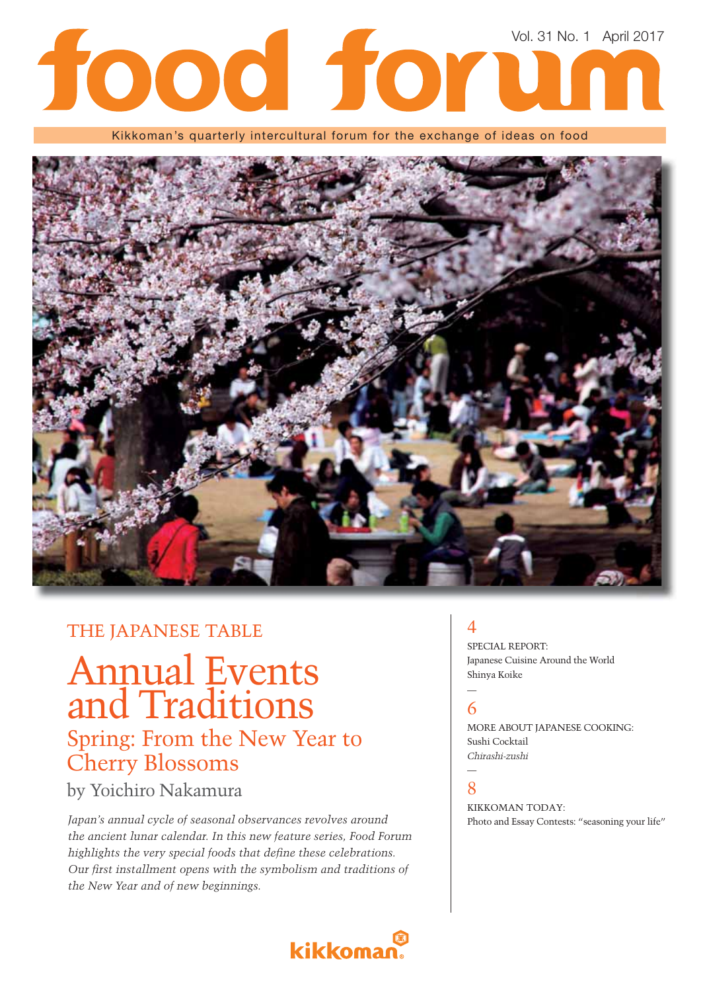# Vol. 31 No. 1 April 2017

Kikkoman's quarterly intercultural forum for the exchange of ideas on food



## THE JAPANESE TABLE

# Annual Events and Traditions Spring: From the New Year to Cherry Blossoms

## by Yoichiro Nakamura

*Japan's annual cycle of seasonal observances revolves around* Photo and Essay Contests: "seasoning your life" *the ancient lunar calendar. In this new feature series, Food Forum*  highlights the very special foods that define these celebrations. Our first installment opens with the symbolism and traditions of *the New Year and of new beginnings.*

# **kikkoman**

### 4

SPECIAL REPORT: Japanese Cuisine Around the World Shinya Koike

## 6

MORE ABOUT JAPANESE COOKING: Sushi Cocktail *Chirashi-zushi*

#### — 8

KIKKOMAN TODAY: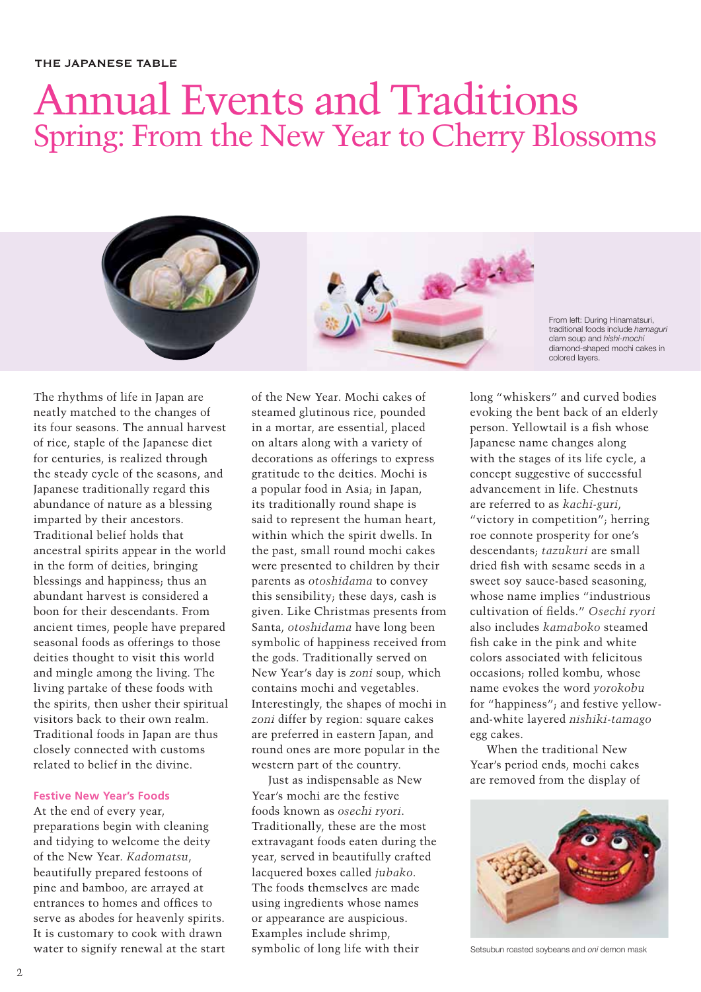# Annual Events and Traditions Spring: From the New Year to Cherry Blossoms



From left: During Hinamatsuri, traditional foods include *hamaguri*  clam soup and *hishi-mochi* diamond-shaped mochi cakes in colored layers.

The rhythms of life in Japan are neatly matched to the changes of its four seasons. The annual harvest of rice, staple of the Japanese diet for centuries, is realized through the steady cycle of the seasons, and Japanese traditionally regard this abundance of nature as a blessing imparted by their ancestors. Traditional belief holds that ancestral spirits appear in the world in the form of deities, bringing blessings and happiness; thus an abundant harvest is considered a boon for their descendants. From ancient times, people have prepared seasonal foods as offerings to those deities thought to visit this world and mingle among the living. The living partake of these foods with the spirits, then usher their spiritual visitors back to their own realm. Traditional foods in Japan are thus closely connected with customs related to belief in the divine.

#### **Festive New Year's Foods**

At the end of every year, preparations begin with cleaning and tidying to welcome the deity of the New Year. *Kadomatsu*, beautifully prepared festoons of pine and bamboo, are arrayed at entrances to homes and offices to serve as abodes for heavenly spirits. It is customary to cook with drawn water to signify renewal at the start

of the New Year. Mochi cakes of steamed glutinous rice, pounded in a mortar, are essential, placed on altars along with a variety of decorations as offerings to express gratitude to the deities. Mochi is a popular food in Asia; in Japan, its traditionally round shape is said to represent the human heart, within which the spirit dwells. In the past, small round mochi cakes were presented to children by their parents as *otoshidama* to convey this sensibility; these days, cash is given. Like Christmas presents from Santa, *otoshidama* have long been symbolic of happiness received from the gods. Traditionally served on New Year's day is *zoni* soup, which contains mochi and vegetables. Interestingly, the shapes of mochi in *zoni* differ by region: square cakes are preferred in eastern Japan, and round ones are more popular in the western part of the country.

Just as indispensable as New Year's mochi are the festive foods known as *osechi ryori*. Traditionally, these are the most extravagant foods eaten during the year, served in beautifully crafted lacquered boxes called *jubako*. The foods themselves are made using ingredients whose names or appearance are auspicious. Examples include shrimp, symbolic of long life with their

long "whiskers" and curved bodies evoking the bent back of an elderly person. Yellowtail is a fish whose Japanese name changes along with the stages of its life cycle, a concept suggestive of successful advancement in life. Chestnuts are referred to as *kachi-guri*, "victory in competition"; herring roe connote prosperity for one's descendants; *tazukuri* are small dried fish with sesame seeds in a sweet soy sauce-based seasoning, whose name implies "industrious cultivation of fields." Osechi ryori also includes *kamaboko* steamed fish cake in the pink and white colors associated with felicitous occasions; rolled kombu, whose name evokes the word *yorokobu* for "happiness"; and festive yellowand-white layered *nishiki-tamago* egg cakes.

When the traditional New Year's period ends, mochi cakes are removed from the display of



Setsubun roasted soybeans and *oni* demon mask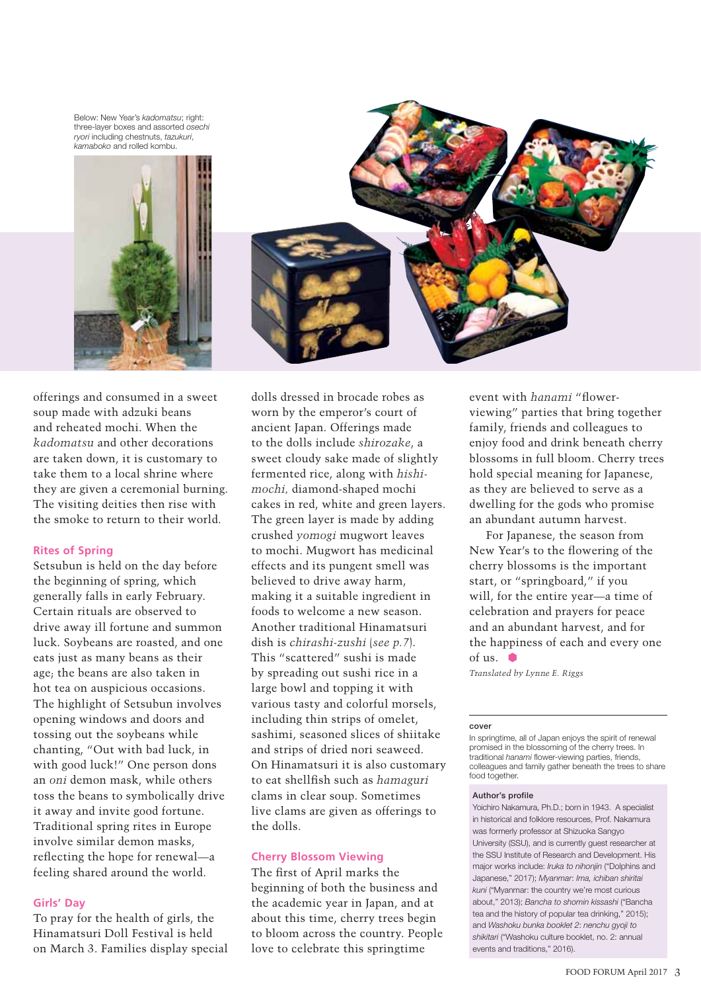Below: New Year's *kadomatsu*; right: three-layer boxes and assorted *osechi ryori* including chestnuts, *tazukuri*, *kamaboko* and rolled kombu.





#### **Rites of Spring**

Setsubun is held on the day before the beginning of spring, which generally falls in early February. Certain rituals are observed to drive away ill fortune and summon luck. Soybeans are roasted, and one eats just as many beans as their age; the beans are also taken in hot tea on auspicious occasions. The highlight of Setsubun involves opening windows and doors and tossing out the soybeans while chanting, "Out with bad luck, in with good luck!" One person dons an *oni* demon mask, while others toss the beans to symbolically drive it away and invite good fortune. Traditional spring rites in Europe involve similar demon masks, reflecting the hope for renewal-a feeling shared around the world.

#### **Girls' Day**

To pray for the health of girls, the Hinamatsuri Doll Festival is held on March 3. Families display special



dolls dressed in brocade robes as worn by the emperor's court of ancient Japan. Offerings made to the dolls include *shirozake*, a sweet cloudy sake made of slightly fermented rice, along with *hishimochi,* diamond-shaped mochi cakes in red, white and green layers. The green layer is made by adding crushed *yomogi* mugwort leaves to mochi. Mugwort has medicinal effects and its pungent smell was believed to drive away harm, making it a suitable ingredient in foods to welcome a new season. Another traditional Hinamatsuri dish is *chirashi-zushi* (*see p.7*). This "scattered" sushi is made by spreading out sushi rice in a large bowl and topping it with various tasty and colorful morsels, including thin strips of omelet, sashimi, seasoned slices of shiitake and strips of dried nori seaweed. On Hinamatsuri it is also customary to eat shellfish such as *hamaguri* clams in clear soup. Sometimes live clams are given as offerings to the dolls.

#### **Cherry Blossom Viewing**

The first of April marks the beginning of both the business and the academic year in Japan, and at about this time, cherry trees begin to bloom across the country. People love to celebrate this springtime

event with *hanami* "flowerviewing" parties that bring together family, friends and colleagues to enjoy food and drink beneath cherry blossoms in full bloom. Cherry trees hold special meaning for Japanese, as they are believed to serve as a dwelling for the gods who promise an abundant autumn harvest.

For Japanese, the season from New Year's to the flowering of the cherry blossoms is the important start, or "springboard," if you will, for the entire year—a time of celebration and prayers for peace and an abundant harvest, and for the happiness of each and every one of us.  $\bullet$ 

*Translated by Lynne E. Riggs*

#### **cover**

In springtime, all of Japan enjoys the spirit of renewal promised in the blossoming of the cherry trees. In traditional *hanami* flower-viewing parties, friends, colleagues and family gather beneath the trees to share food together.

#### **Author's profile**

Yoichiro Nakamura, Ph.D.; born in 1943. A specialist in historical and folklore resources, Prof. Nakamura was formerly professor at Shizuoka Sangyo University (SSU), and is currently guest researcher at the SSU Institute of Research and Development. His major works include: *Iruka to nihonjin* ("Dolphins and Japanese," 2017); *Myanmar*: *Ima, ichiban shiritai kuni* ("Myanmar: the country we're most curious about," 2013); *Bancha to shomin kissashi* ("Bancha tea and the history of popular tea drinking," 2015); and *Washoku bunka booklet 2*: *nenchu gyoji to shikitari* ("Washoku culture booklet, no. 2: annual events and traditions," 2016).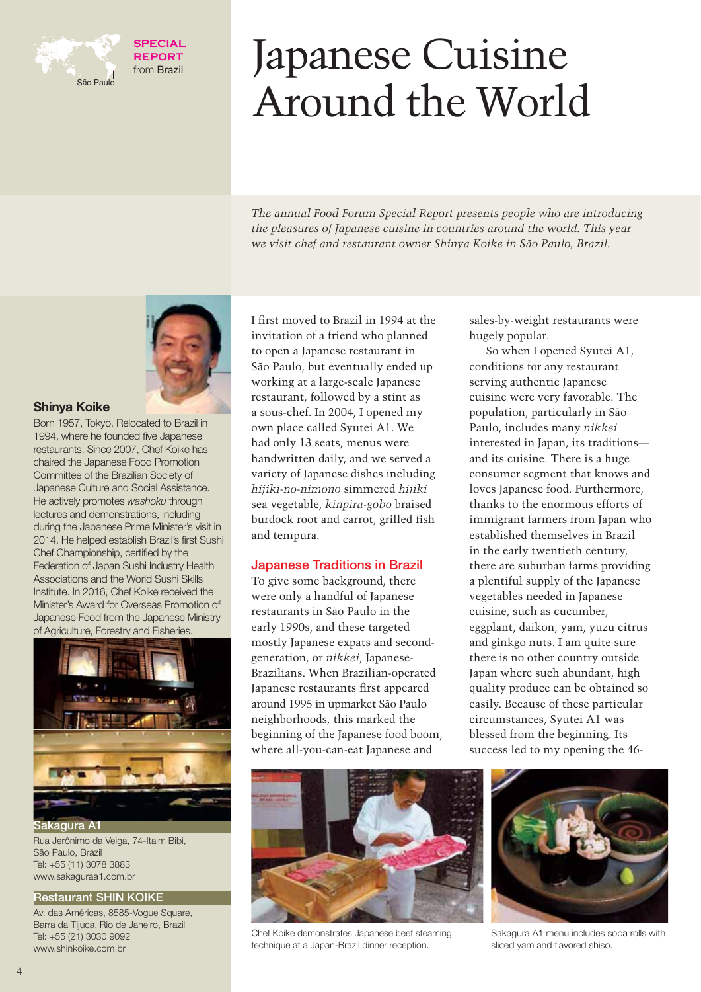



# Japanese Cuisine Around the World

*The annual Food Forum Special Report presents people who are introducing the pleasures of Japanese cuisine in countries around the world. This year we visit chef and restaurant owner Shinya Koike in São Paulo, Brazil.* 



#### **Shinya Koike**

Born 1957, Tokyo. Relocated to Brazil in 1994, where he founded five Japanese restaurants. Since 2007, Chef Koike has chaired the Japanese Food Promotion Committee of the Brazilian Society of Japanese Culture and Social Assistance. He actively promotes *washoku* through lectures and demonstrations, including during the Japanese Prime Minister's visit in 2014. He helped establish Brazil's first Sushi Chef Championship, certified by the Federation of Japan Sushi Industry Health Associations and the World Sushi Skills Institute. In 2016, Chef Koike received the Minister's Award for Overseas Promotion of Japanese Food from the Japanese Ministry of Agriculture, Forestry and Fisheries.



**Sakagura A1** Rua Jerônimo da Veiga, 74-Itaim Bibi, São Paulo, Brazil Tel: +55 (11) 3078 3883 www.sakaguraa1.com.br

#### **Restaurant SHIN KOIKE**

Av. das Américas, 8585-Vogue Square, Barra da Tijuca, Rio de Janeiro, Brazil Tel: +55 (21) 3030 9092 www.shinkoike.com.br

I first moved to Brazil in 1994 at the invitation of a friend who planned to open a Japanese restaurant in São Paulo, but eventually ended up working at a large-scale Japanese restaurant, followed by a stint as a sous-chef. In 2004, I opened my own place called Syutei A1. We had only 13 seats, menus were handwritten daily, and we served a variety of Japanese dishes including *hijiki-no-nimono* simmered *hijiki* sea vegetable, *kinpira-gobo* braised burdock root and carrot, grilled fish and tempura.

#### **Japanese Traditions in Brazil**

To give some background, there were only a handful of Japanese restaurants in São Paulo in the early 1990s, and these targeted mostly Japanese expats and secondgeneration, or *nikkei*, Japanese-Brazilians. When Brazilian-operated Japanese restaurants first appeared around 1995 in upmarket São Paulo neighborhoods, this marked the beginning of the Japanese food boom, where all-you-can-eat Japanese and



Chef Koike demonstrates Japanese beef steaming technique at a Japan-Brazil dinner reception.

sales-by-weight restaurants were hugely popular.

So when I opened Syutei A1, conditions for any restaurant serving authentic Japanese cuisine were very favorable. The population, particularly in São Paulo, includes many *nikkei* interested in Japan, its traditions and its cuisine. There is a huge consumer segment that knows and loves Japanese food. Furthermore, thanks to the enormous efforts of immigrant farmers from Japan who established themselves in Brazil in the early twentieth century, there are suburban farms providing a plentiful supply of the Japanese vegetables needed in Japanese cuisine, such as cucumber, eggplant, daikon, yam, yuzu citrus and ginkgo nuts. I am quite sure there is no other country outside Japan where such abundant, high quality produce can be obtained so easily. Because of these particular circumstances, Syutei A1 was blessed from the beginning. Its success led to my opening the 46-



Sakagura A1 menu includes soba rolls with sliced yam and flavored shiso.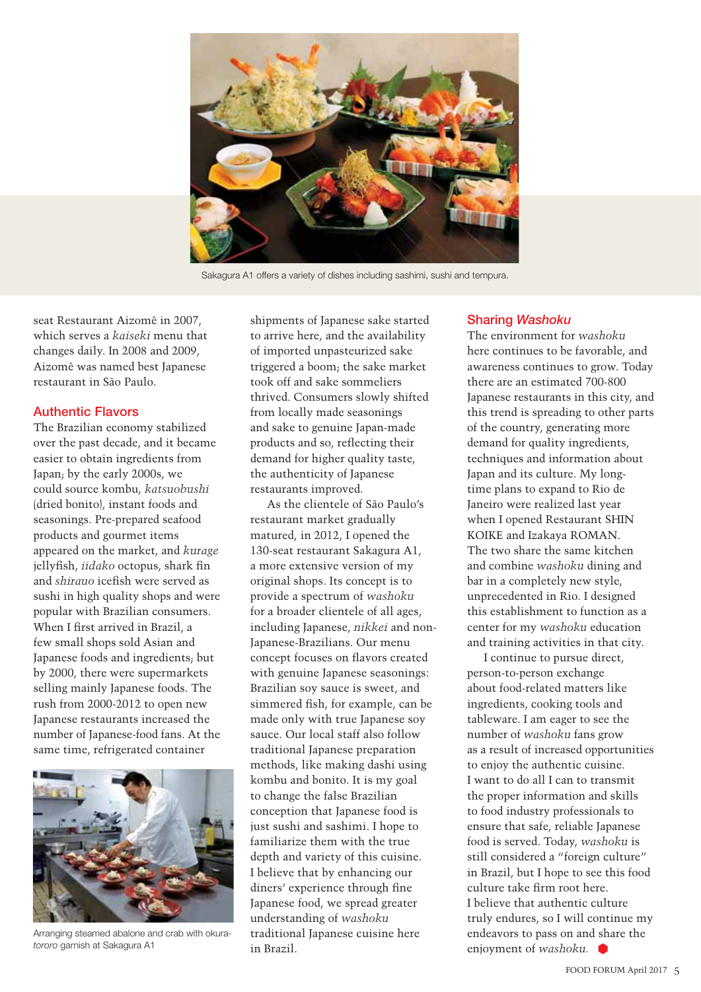

Sakagura A1 offers a variety of dishes including sashimi, sushi and tempura.

seat Restaurant Aizomê in 2007, which serves a *kaiseki* menu that changes daily. In 2008 and 2009, Aizomê was named best Japanese restaurant in São Paulo.

#### **Authentic Flavors**

The Brazilian economy stabilized over the past decade, and it became easier to obtain ingredients from Japan; by the early 2000s, we could source kombu, *katsuobushi*  (dried bonito), instant foods and seasonings. Pre-prepared seafood products and gourmet items appeared on the market, and *kurage*  jellyfish, *iidako* octopus, shark fin and *shirauo* icefish were served as sushi in high quality shops and were popular with Brazilian consumers. When I first arrived in Brazil, a few small shops sold Asian and Japanese foods and ingredients; but by 2000, there were supermarkets selling mainly Japanese foods. The rush from 2000-2012 to open new Japanese restaurants increased the number of Japanese-food fans. At the same time, refrigerated container



Arranging steamed abalone and crab with okura*tororo* garnish at Sakagura A1

shipments of Japanese sake started to arrive here, and the availability of imported unpasteurized sake triggered a boom; the sake market took off and sake sommeliers thrived. Consumers slowly shifted from locally made seasonings and sake to genuine Japan-made products and so, reflecting their demand for higher quality taste, the authenticity of Japanese restaurants improved.

As the clientele of São Paulo's restaurant market gradually matured, in 2012, I opened the 130-seat restaurant Sakagura A1, a more extensive version of my original shops. Its concept is to provide a spectrum of *washoku*  for a broader clientele of all ages, including Japanese, *nikkei* and non-Japanese-Brazilians. Our menu concept focuses on flavors created with genuine Japanese seasonings: Brazilian soy sauce is sweet, and simmered fish, for example, can be made only with true Japanese soy sauce. Our local staff also follow traditional Japanese preparation methods, like making dashi using kombu and bonito. It is my goal to change the false Brazilian conception that Japanese food is just sushi and sashimi. I hope to familiarize them with the true depth and variety of this cuisine. I believe that by enhancing our diners' experience through fine Japanese food, we spread greater understanding of *washoku* traditional Japanese cuisine here in Brazil.

#### **Sharing** *Washoku*

The environment for *washoku* here continues to be favorable, and awareness continues to grow. Today there are an estimated 700-800 Japanese restaurants in this city, and this trend is spreading to other parts of the country, generating more demand for quality ingredients, techniques and information about Japan and its culture. My longtime plans to expand to Rio de Janeiro were realized last year when I opened Restaurant SHIN KOIKE and Izakaya ROMAN. The two share the same kitchen and combine *washoku* dining and bar in a completely new style, unprecedented in Rio. I designed this establishment to function as a center for my *washoku* education and training activities in that city.

I continue to pursue direct, person-to-person exchange about food-related matters like ingredients, cooking tools and tableware. I am eager to see the number of *washoku* fans grow as a result of increased opportunities to enjoy the authentic cuisine. I want to do all I can to transmit the proper information and skills to food industry professionals to ensure that safe, reliable Japanese food is served. Today, *washoku* is still considered a "foreign culture" in Brazil, but I hope to see this food culture take firm root here. I believe that authentic culture truly endures, so I will continue my endeavors to pass on and share the enjoyment of *washoku.*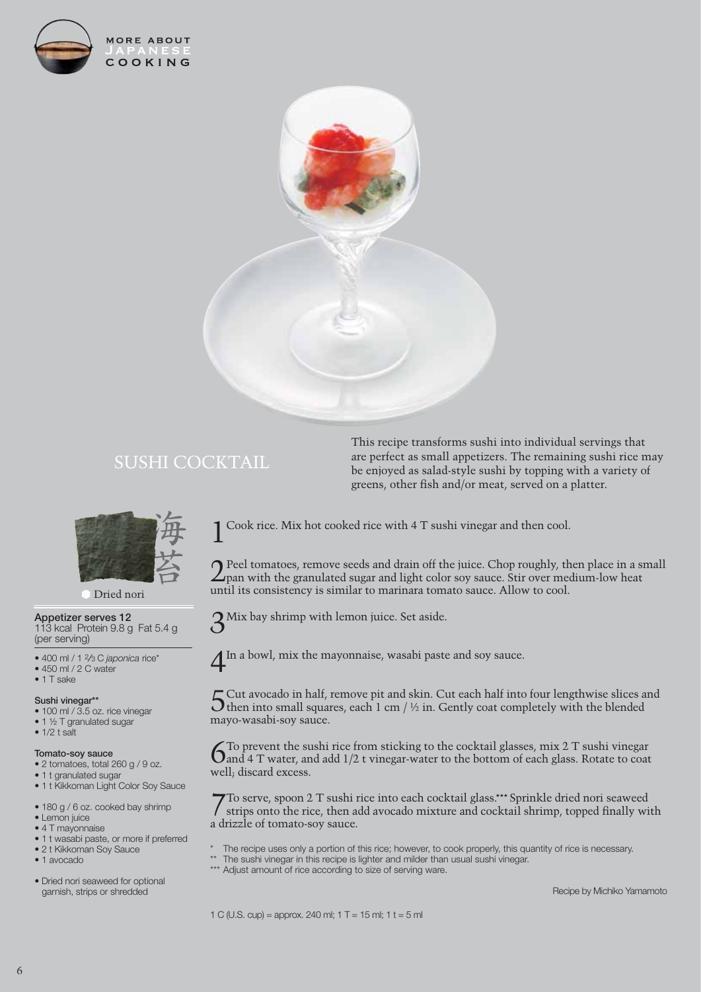



## SUSHI COCKTAIL



Dried nori

**Appetizer serves 12** 113 kcal Protein 9.8 g Fat 5.4 g (per serving)

- 400 ml / 1 2/3 C *japonica* rice\*
- 450 ml / 2 C water
- 1 T sake
- **Sushi vinegar\*\***
- 100 ml / 3.5 oz. rice vinegar
- 1 ½ T granulated sugar
- $\bullet$  1/2 t salt

#### **Tomato-soy sauce**

- 2 tomatoes, total 260 g / 9 oz.
- 1 t granulated sugar
- 1 t Kikkoman Light Color Soy Sauce
- 180 g / 6 oz. cooked bay shrimp
- Lemon juice
- 4 T mayonnaise
- 1 t wasabi paste, or more if preferred
- 2 t Kikkoman Soy Sauce
- 1 avocado
- Dried nori seaweed for optional garnish, strips or shredded

Cook rice. Mix hot cooked rice with 4 T sushi vinegar and then cool.

Peel tomatoes, remove seeds and drain off the juice. Chop roughly, then place in a small  $\mathcal{L}_{\text{pan}}$  with the granulated sugar and light color soy sauce. Stir over medium-low heat until its consistency is similar to marinara tomato sauce. Allow to cool.

This recipe transforms sushi into individual servings that are perfect as small appetizers. The remaining sushi rice may be enjoyed as salad-style sushi by topping with a variety of

greens, other fish and/or meat, served on a platter.

3Mix bay shrimp with lemon juice. Set aside.

4In a bowl, mix the mayonnaise, wasabi paste and soy sauce.

 $5$ Cut avocado in half, remove pit and skin. Cut each half into four lengthwise slices and then into small squares, each 1 cm / ½ in. Gently coat completely with the blended mayo-wasabi-soy sauce.

 $6$ To prevent the sushi rice from sticking to the cocktail glasses, mix 2 T sushi vinegar and 4 T water, and add 1/2 t vinegar-water to the bottom of each glass. Rotate to coat well; discard excess.

To serve, spoon 2 T sushi rice into each cocktail glass.\*\*\* Sprinkle dried nori seaweed strips onto the rice, then add avocado mixture and cocktail shrimp, topped finally with a drizzle of tomato-soy sauce.

- The recipe uses only a portion of this rice; however, to cook properly, this quantity of rice is necessary.
- The sushi vinegar in this recipe is lighter and milder than usual sushi vinegar.
- \*\*\* Adjust amount of rice according to size of serving ware.

Recipe by Michiko Yamamoto

1 C (U.S. cup) = approx. 240 ml;  $1 T = 15$  ml;  $1 t = 5$  ml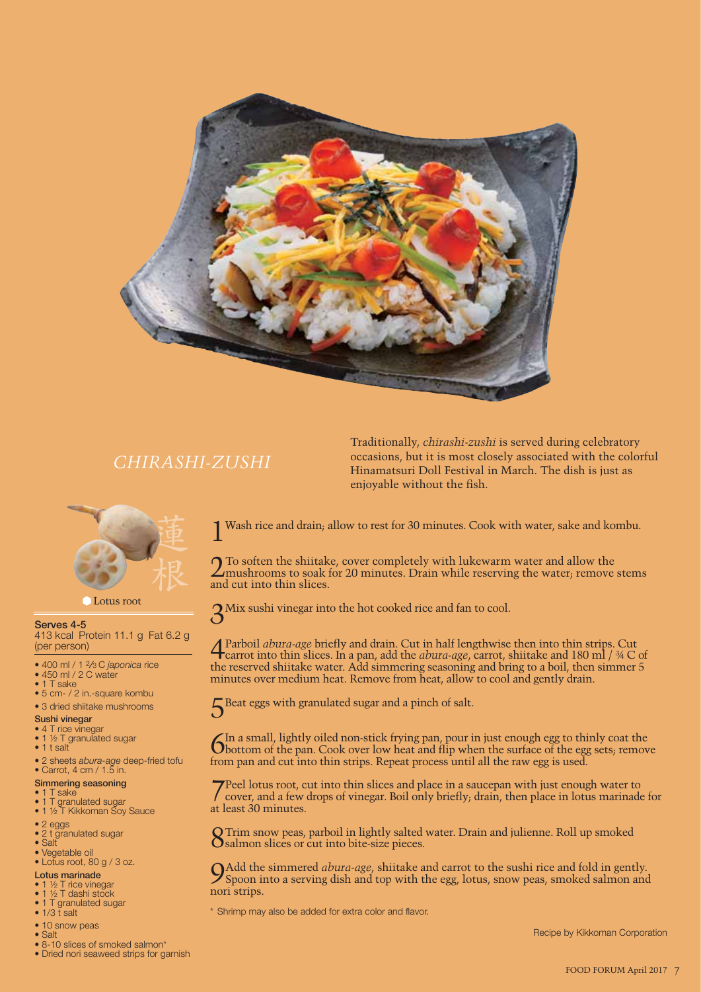

*CHIRASHI-ZUSHI* 



Lotus root

**Serves 4-5** 413 kcal Protein 11.1 g Fat 6.2 g (per person)

- 400 ml / 1 2/3 C *japonica* rice 450 ml / 2 C water
- 
- 1 T sake
- 5 cm- / 2 in.-square kombu
- 3 dried shiitake mushrooms

#### **Sushi vinegar**

- 4 T rice vinegar • 1 ½ T granulated sugar
- 1 t salt
- 2 sheets *abura-age* deep-fried tofu • Carrot, 4 cm / 1.5 in.
- 

#### **Simmering seasoning**<br>• 1 T sake T sake

- 1 T granulated sugar
- 1 ½ T Kikkoman Soy Sauce
- 2 eggs
- 2 t granulated sugar
- Salt • Vegetable oil
- Lotus root, 80 g / 3 oz.

#### **Lotus marinade**

- 1 1/2 T rice vinegar
- 1 ½ T dashi stock
- **T** granulated sugar  $\bullet$  1/3 t salt
- 10 snow peas
- Salt
- 8-10 slices of smoked salmon\*
- Dried nori seaweed strips for garnish

Traditionally, *chirashi-zushi* is served during celebratory occasions, but it is most closely associated with the colorful Hinamatsuri Doll Festival in March. The dish is just as

Wash rice and drain; allow to rest for 30 minutes. Cook with water, sake and kombu.

enjoyable without the fish.

2To soften the shiitake, cover completely with lukewarm water and allow the mushrooms to soak for 20 minutes. Drain while reserving the water; remove stems and cut into thin slices.

3Mix sushi vinegar into the hot cooked rice and fan to cool.

**4** Parboil *abura-age* briefly and drain. Cut in half lengthwise then into thin strips. Cut carrot into thin slices. In a pan, add the *abura-age*, carrot, shiitake and 180 ml / ¾ C of the reserved shiitake water. Add simmering seasoning and bring to a boil, then simmer 5 minutes over medium heat. Remove from heat, allow to cool and gently drain.

5Beat eggs with granulated sugar and a pinch of salt.

In a small, lightly oiled non-stick frying pan, pour in just enough egg to thinly coat the bottom of the pan. Cook over low heat and flip when the surface of the egg sets; remove from pan and cut into thin strips. Repeat process until all the raw egg is used.

7 Peel lotus root, cut into thin slices and place in a saucepan with just enough water to cover, and a few drops of vinegar. Boil only briefl y; drain, then place in lotus marinade for at least 30 minutes.

8 Trim snow peas, parboil in lightly salted water. Drain and julienne. Roll up smoked salmon slices or cut into bite-size pieces.

9 Add the simmered *abura-age*, shiitake and carrot to the sushi rice and fold in gently. Spoon into a serving dish and top with the egg, lotus, snow peas, smoked salmon and nori strips.

\* Shrimp may also be added for extra color and flavor.

Recipe by Kikkoman Corporation